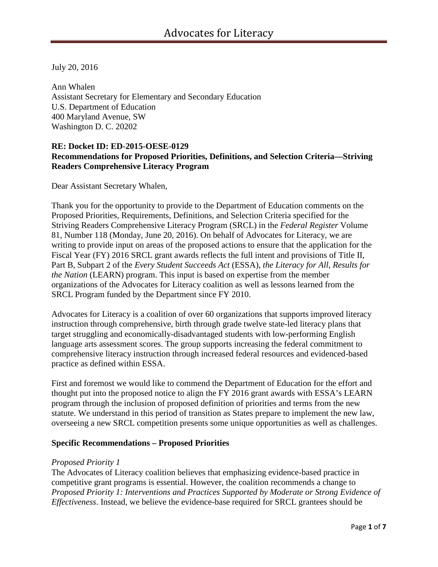July 20, 2016

Ann Whalen Assistant Secretary for Elementary and Secondary Education U.S. Department of Education 400 Maryland Avenue, SW Washington D. C. 20202

### **RE: Docket ID: ED-2015-OESE-0129 Recommendations for Proposed Priorities, Definitions, and Selection Criteria—Striving Readers Comprehensive Literacy Program**

Dear Assistant Secretary Whalen,

Thank you for the opportunity to provide to the Department of Education comments on the Proposed Priorities, Requirements, Definitions, and Selection Criteria specified for the Striving Readers Comprehensive Literacy Program (SRCL) in the *Federal Register* Volume 81, Number 118 (Monday, June 20, 2016). On behalf of Advocates for Literacy, we are writing to provide input on areas of the proposed actions to ensure that the application for the Fiscal Year (FY) 2016 SRCL grant awards reflects the full intent and provisions of Title II, Part B, Subpart 2 of the *Every Student Succeeds Act* (ESSA), *the Literacy for All, Results for the Nation* (LEARN) program. This input is based on expertise from the member organizations of the Advocates for Literacy coalition as well as lessons learned from the SRCL Program funded by the Department since FY 2010.

Advocates for Literacy is a coalition of over 60 organizations that supports improved literacy instruction through comprehensive, birth through grade twelve state-led literacy plans that target struggling and economically-disadvantaged students with low-performing English language arts assessment scores. The group supports increasing the federal commitment to comprehensive literacy instruction through increased federal resources and evidenced-based practice as defined within ESSA.

First and foremost we would like to commend the Department of Education for the effort and thought put into the proposed notice to align the FY 2016 grant awards with ESSA's LEARN program through the inclusion of proposed definition of priorities and terms from the new statute. We understand in this period of transition as States prepare to implement the new law, overseeing a new SRCL competition presents some unique opportunities as well as challenges.

#### **Specific Recommendations – Proposed Priorities**

#### *Proposed Priority 1*

The Advocates of Literacy coalition believes that emphasizing evidence-based practice in competitive grant programs is essential. However, the coalition recommends a change to *Proposed Priority 1: Interventions and Practices Supported by Moderate or Strong Evidence of Effectiveness*. Instead, we believe the evidence-base required for SRCL grantees should be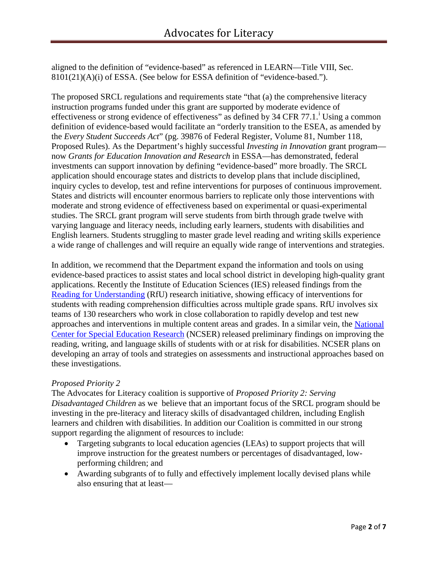aligned to the definition of "evidence-based" as referenced in LEARN—Title VIII, Sec. 8101(21)(A)(i) of ESSA. (See below for ESSA definition of "evidence-based.").

The proposed SRCL regulations and requirements state "that (a) the comprehensive literacy instruction programs funded under this grant are supported by moderate evidence of effect[i](#page-6-0)veness or strong evidence of effectiveness" as defined by 34 CFR 77.1.<sup>1</sup> Using a common definition of evidence-based would facilitate an "orderly transition to the ESEA, as amended by the *Every Student Succeeds Act*" (pg. 39876 of Federal Register, Volume 81, Number 118, Proposed Rules). As the Department's highly successful *Investing in Innovation* grant program now *Grants for Education Innovation and Research* in ESSA—has demonstrated, federal investments can support innovation by defining "evidence-based" more broadly. The SRCL application should encourage states and districts to develop plans that include disciplined, inquiry cycles to develop, test and refine interventions for purposes of continuous improvement. States and districts will encounter enormous barriers to replicate only those interventions with moderate and strong evidence of effectiveness based on experimental or quasi-experimental studies. The SRCL grant program will serve students from birth through grade twelve with varying language and literacy needs, including early learners, students with disabilities and English learners. Students struggling to master grade level reading and writing skills experience a wide range of challenges and will require an equally wide range of interventions and strategies.

In addition, we recommend that the Department expand the information and tools on using evidence-based practices to assist states and local school district in developing high-quality grant applications. Recently the Institute of Education Sciences (IES) released findings from the [Reading for Understanding](http://ies.ed.gov/ncer/projects/program.asp?ProgID=62) (RfU) research initiative, showing efficacy of interventions for students with reading comprehension difficulties across multiple grade spans. RfU involves six teams of 130 researchers who work in close collaboration to rapidly develop and test new approaches and interventions in multiple content areas and grades. In a similar vein, the [National](http://ies.ed.gov/ncser/pdf/Reading_2015.pdf)  [Center for Special Education Research](http://ies.ed.gov/ncser/pdf/Reading_2015.pdf) (NCSER) released preliminary findings on improving the reading, writing, and language skills of students with or at risk for disabilities. NCSER plans on developing an array of tools and strategies on assessments and instructional approaches based on these investigations.

# *Proposed Priority 2*

The Advocates for Literacy coalition is supportive of *Proposed Priority 2: Serving Disadvantaged Children* as we believe that an important focus of the SRCL program should be investing in the pre-literacy and literacy skills of disadvantaged children, including English learners and children with disabilities. In addition our Coalition is committed in our strong support regarding the alignment of resources to include:

- Targeting subgrants to local education agencies (LEAs) to support projects that will improve instruction for the greatest numbers or percentages of disadvantaged, lowperforming children; and
- Awarding subgrants of to fully and effectively implement locally devised plans while also ensuring that at least—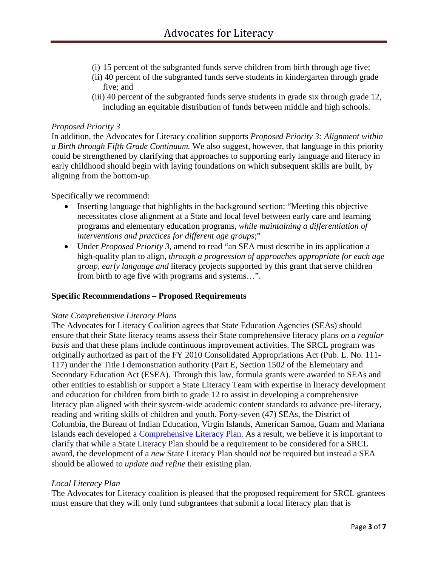- (i) 15 percent of the subgranted funds serve children from birth through age five;
- (ii) 40 percent of the subgranted funds serve students in kindergarten through grade five; and
- (iii) 40 percent of the subgranted funds serve students in grade six through grade 12, including an equitable distribution of funds between middle and high schools.

### *Proposed Priority 3*

In addition, the Advocates for Literacy coalition supports *Proposed Priority 3: Alignment within a Birth through Fifth Grade Continuum.* We also suggest, however, that language in this priority could be strengthened by clarifying that approaches to supporting early language and literacy in early childhood should begin with laying foundations on which subsequent skills are built, by aligning from the bottom-up.

### Specifically we recommend:

- Inserting language that highlights in the background section: "Meeting this objective necessitates close alignment at a State and local level between early care and learning programs and elementary education programs, *while maintaining a differentiation of interventions and practices for different age groups*;"
- Under *Proposed Priority 3*, amend to read "an SEA must describe in its application a high-quality plan to align*, through a progression of approaches appropriate for each age group, early language and* literacy projects supported by this grant that serve children from birth to age five with programs and systems…".

#### **Specific Recommendations – Proposed Requirements**

#### *State Comprehensive Literacy Plans*

The Advocates for Literacy Coalition agrees that State Education Agencies (SEAs) should ensure that their State literacy teams assess their State comprehensive literacy plans *on a regular basis* and that these plans include continuous improvement activities. The SRCL program was originally authorized as part of the FY 2010 Consolidated Appropriations Act (Pub. L. No. 111- 117) under the Title I demonstration authority (Part E, Section 1502 of the Elementary and Secondary Education Act (ESEA). Through this law, formula grants were awarded to SEAs and other entities to establish or support a State Literacy Team with expertise in literacy development and education for children from birth to grade 12 to assist in developing a comprehensive literacy plan aligned with their system-wide academic content standards to advance pre-literacy, reading and writing skills of children and youth. Forty-seven (47) SEAs, the District of Columbia, the Bureau of Indian Education, Virgin Islands, American Samoa, Guam and Mariana Islands each developed a [Comprehensive Literacy Plan.](http://www2.ed.gov/programs/strivingreaders-literacy/literacyprofiles.html) As a result, we believe it is important to clarify that while a State Literacy Plan should be a requirement to be considered for a SRCL award, the development of a *new* State Literacy Plan should *not* be required but instead a SEA should be allowed to *update and refine* their existing plan.

# *Local Literacy Plan*

The Advocates for Literacy coalition is pleased that the proposed requirement for SRCL grantees must ensure that they will only fund subgrantees that submit a local literacy plan that is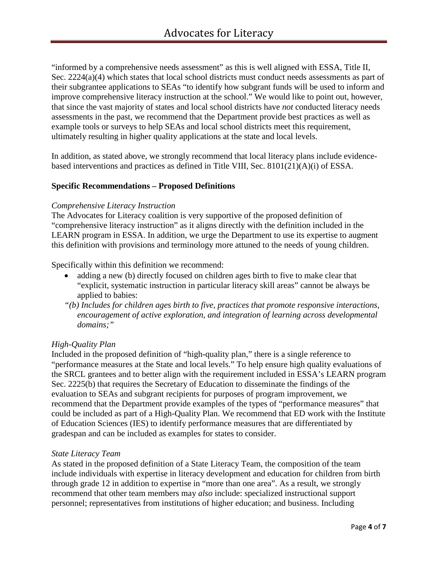"informed by a comprehensive needs assessment" as this is well aligned with ESSA, Title II, Sec. 2224(a)(4) which states that local school districts must conduct needs assessments as part of their subgrantee applications to SEAs "to identify how subgrant funds will be used to inform and improve comprehensive literacy instruction at the school." We would like to point out, however, that since the vast majority of states and local school districts have *not* conducted literacy needs assessments in the past, we recommend that the Department provide best practices as well as example tools or surveys to help SEAs and local school districts meet this requirement, ultimately resulting in higher quality applications at the state and local levels.

In addition, as stated above, we strongly recommend that local literacy plans include evidencebased interventions and practices as defined in Title VIII, Sec. 8101(21)(A)(i) of ESSA.

### **Specific Recommendations – Proposed Definitions**

#### *Comprehensive Literacy Instruction*

The Advocates for Literacy coalition is very supportive of the proposed definition of "comprehensive literacy instruction" as it aligns directly with the definition included in the LEARN program in ESSA. In addition, we urge the Department to use its expertise to augment this definition with provisions and terminology more attuned to the needs of young children.

Specifically within this definition we recommend:

- adding a new (b) directly focused on children ages birth to five to make clear that "explicit, systematic instruction in particular literacy skill areas" cannot be always be applied to babies:
- *"(b) Includes for children ages birth to five, practices that promote responsive interactions, encouragement of active exploration, and integration of learning across developmental domains;"*

#### *High-Quality Plan*

Included in the proposed definition of "high-quality plan," there is a single reference to "performance measures at the State and local levels." To help ensure high quality evaluations of the SRCL grantees and to better align with the requirement included in ESSA's LEARN program Sec. 2225(b) that requires the Secretary of Education to disseminate the findings of the evaluation to SEAs and subgrant recipients for purposes of program improvement, we recommend that the Department provide examples of the types of "performance measures" that could be included as part of a High-Quality Plan. We recommend that ED work with the Institute of Education Sciences (IES) to identify performance measures that are differentiated by gradespan and can be included as examples for states to consider.

#### *State Literacy Team*

As stated in the proposed definition of a State Literacy Team, the composition of the team include individuals with expertise in literacy development and education for children from birth through grade 12 in addition to expertise in "more than one area". As a result, we strongly recommend that other team members may *also* include: specialized instructional support personnel; representatives from institutions of higher education; and business. Including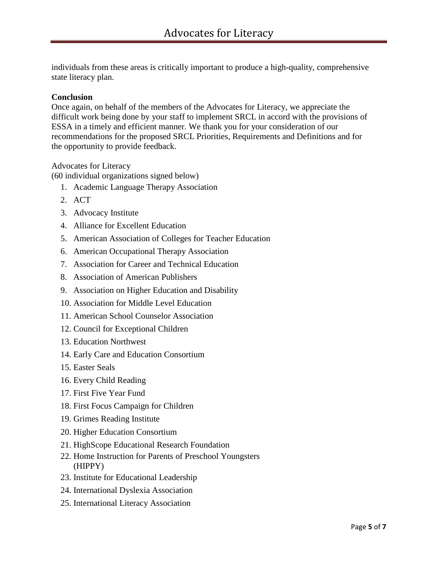individuals from these areas is critically important to produce a high-quality, comprehensive state literacy plan.

### **Conclusion**

Once again, on behalf of the members of the Advocates for Literacy, we appreciate the difficult work being done by your staff to implement SRCL in accord with the provisions of ESSA in a timely and efficient manner. We thank you for your consideration of our recommendations for the proposed SRCL Priorities, Requirements and Definitions and for the opportunity to provide feedback.

Advocates for Literacy

(60 individual organizations signed below)

- 1. Academic Language Therapy Association
- 2. ACT
- 3. Advocacy Institute
- 4. Alliance for Excellent Education
- 5. American Association of Colleges for Teacher Education
- 6. American Occupational Therapy Association
- 7. Association for Career and Technical Education
- 8. Association of American Publishers
- 9. Association on Higher Education and Disability
- 10. Association for Middle Level Education
- 11. American School Counselor Association
- 12. Council for Exceptional Children
- 13. Education Northwest
- 14. Early Care and Education Consortium
- 15. Easter Seals
- 16. Every Child Reading
- 17. First Five Year Fund
- 18. First Focus Campaign for Children
- 19. Grimes Reading Institute
- 20. Higher Education Consortium
- 21. HighScope Educational Research Foundation
- 22. Home Instruction for Parents of Preschool Youngsters (HIPPY)
- 23. Institute for Educational Leadership
- 24. International Dyslexia Association
- 25. International Literacy Association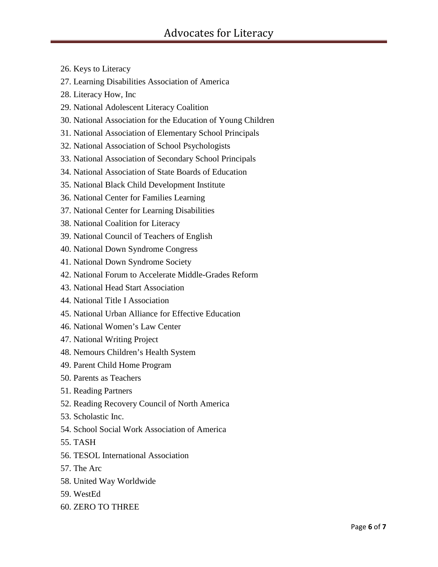- 26. Keys to Literacy
- 27. Learning Disabilities Association of America
- 28. Literacy How, Inc
- 29. National Adolescent Literacy Coalition
- 30. National Association for the Education of Young Children
- 31. National Association of Elementary School Principals
- 32. National Association of School Psychologists
- 33. National Association of Secondary School Principals
- 34. National Association of State Boards of Education
- 35. National Black Child Development Institute
- 36. National Center for Families Learning
- 37. National Center for Learning Disabilities
- 38. National Coalition for Literacy
- 39. National Council of Teachers of English
- 40. National Down Syndrome Congress
- 41. National Down Syndrome Society
- 42. National Forum to Accelerate Middle-Grades Reform
- 43. National Head Start Association
- 44. National Title I Association
- 45. National Urban Alliance for Effective Education
- 46. National Women's Law Center
- 47. National Writing Project
- 48. Nemours Children's Health System
- 49. Parent Child Home Program
- 50. Parents as Teachers
- 51. Reading Partners
- 52. Reading Recovery Council of North America
- 53. Scholastic Inc.
- 54. School Social Work Association of America
- 55. TASH
- 56. TESOL International Association
- 57. The Arc
- 58. United Way Worldwide
- 59. WestEd
- 60. ZERO TO THREE